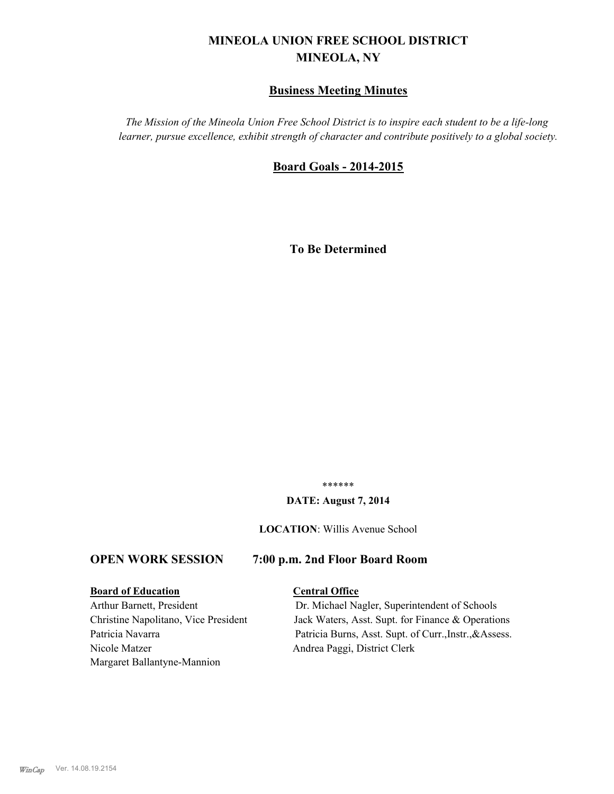# **MINEOLA UNION FREE SCHOOL DISTRICT MINEOLA, NY**

# **Business Meeting Minutes**

*The Mission of the Mineola Union Free School District is to inspire each student to be a life-long learner, pursue excellence, exhibit strength of character and contribute positively to a global society.*

# **Board Goals - 2014-2015**

**To Be Determined**

\*\*\*\*\*\*

#### **DATE: August 7, 2014**

**LOCATION**: Willis Avenue School

# **OPEN WORK SESSION 7:00 p.m. 2nd Floor Board Room**

# **Board of Education Central Office**

Nicole Matzer Andrea Paggi, District Clerk Margaret Ballantyne-Mannion

Arthur Barnett, President Dr. Michael Nagler, Superintendent of Schools Christine Napolitano, Vice President Jack Waters, Asst. Supt. for Finance & Operations Patricia Navarra Patricia Burns, Asst. Supt. of Curr., Instr., & Assess.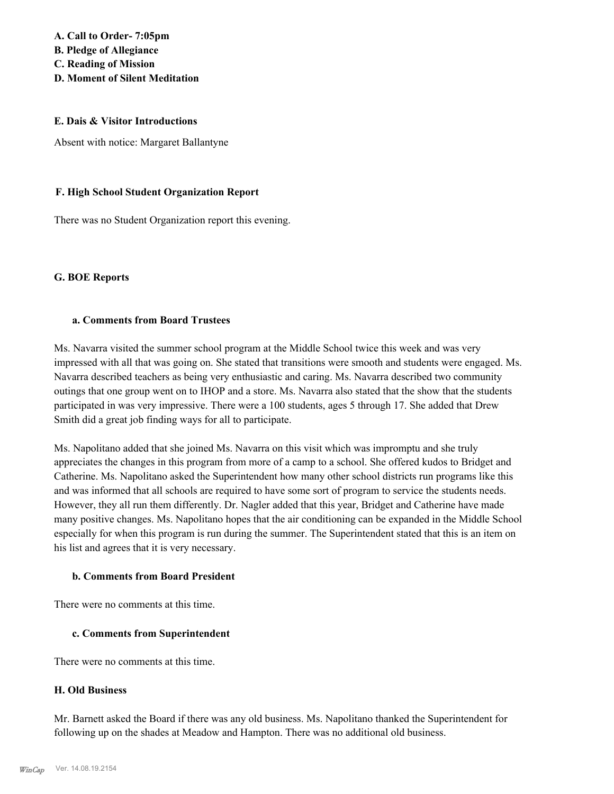**A. Call to Order- 7:05pm B. Pledge of Allegiance C. Reading of Mission D. Moment of Silent Meditation**

#### **E. Dais & Visitor Introductions**

Absent with notice: Margaret Ballantyne

#### **F. High School Student Organization Report**

There was no Student Organization report this evening.

#### **G. BOE Reports**

#### **a. Comments from Board Trustees**

Ms. Navarra visited the summer school program at the Middle School twice this week and was very impressed with all that was going on. She stated that transitions were smooth and students were engaged. Ms. Navarra described teachers as being very enthusiastic and caring. Ms. Navarra described two community outings that one group went on to IHOP and a store. Ms. Navarra also stated that the show that the students participated in was very impressive. There were a 100 students, ages 5 through 17. She added that Drew Smith did a great job finding ways for all to participate.

Ms. Napolitano added that she joined Ms. Navarra on this visit which was impromptu and she truly appreciates the changes in this program from more of a camp to a school. She offered kudos to Bridget and Catherine. Ms. Napolitano asked the Superintendent how many other school districts run programs like this and was informed that all schools are required to have some sort of program to service the students needs. However, they all run them differently. Dr. Nagler added that this year, Bridget and Catherine have made many positive changes. Ms. Napolitano hopes that the air conditioning can be expanded in the Middle School especially for when this program is run during the summer. The Superintendent stated that this is an item on his list and agrees that it is very necessary.

# **b. Comments from Board President**

There were no comments at this time.

#### **c. Comments from Superintendent**

There were no comments at this time.

#### **H. Old Business**

Mr. Barnett asked the Board if there was any old business. Ms. Napolitano thanked the Superintendent for following up on the shades at Meadow and Hampton. There was no additional old business.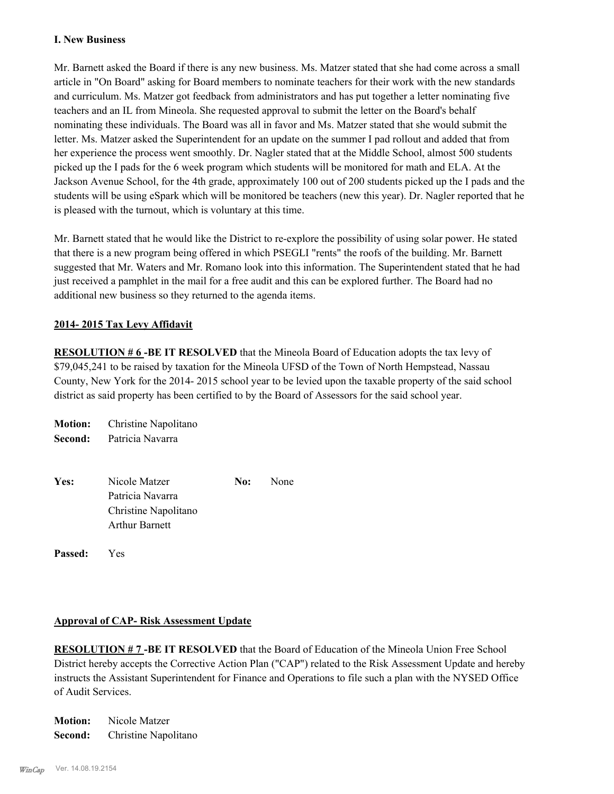#### **I. New Business**

Mr. Barnett asked the Board if there is any new business. Ms. Matzer stated that she had come across a small article in "On Board" asking for Board members to nominate teachers for their work with the new standards and curriculum. Ms. Matzer got feedback from administrators and has put together a letter nominating five teachers and an IL from Mineola. She requested approval to submit the letter on the Board's behalf nominating these individuals. The Board was all in favor and Ms. Matzer stated that she would submit the letter. Ms. Matzer asked the Superintendent for an update on the summer I pad rollout and added that from her experience the process went smoothly. Dr. Nagler stated that at the Middle School, almost 500 students picked up the I pads for the 6 week program which students will be monitored for math and ELA. At the Jackson Avenue School, for the 4th grade, approximately 100 out of 200 students picked up the I pads and the students will be using eSpark which will be monitored be teachers (new this year). Dr. Nagler reported that he is pleased with the turnout, which is voluntary at this time.

Mr. Barnett stated that he would like the District to re-explore the possibility of using solar power. He stated that there is a new program being offered in which PSEGLI "rents" the roofs of the building. Mr. Barnett suggested that Mr. Waters and Mr. Romano look into this information. The Superintendent stated that he had just received a pamphlet in the mail for a free audit and this can be explored further. The Board had no additional new business so they returned to the agenda items.

# **2014- 2015 Tax Levy Affidavit**

**RESOLUTION #6-BE IT RESOLVED** that the Mineola Board of Education adopts the tax levy of \$79,045,241 to be raised by taxation for the Mineola UFSD of the Town of North Hempstead, Nassau County, New York for the 2014- 2015 school year to be levied upon the taxable property of the said school district as said property has been certified to by the Board of Assessors for the said school year.

| <b>Motion:</b> | Christine Napolitano  |     |      |
|----------------|-----------------------|-----|------|
| Second:        | Patricia Navarra      |     |      |
|                |                       |     |      |
| Yes:           | Nicole Matzer         | No: | None |
|                | Patricia Navarra      |     |      |
|                | Christine Napolitano  |     |      |
|                | <b>Arthur Barnett</b> |     |      |
|                |                       |     |      |

**Passed:** Yes

#### **Approval of CAP- Risk Assessment Update**

**RESOLUTION # 7 -BE IT RESOLVED** that the Board of Education of the Mineola Union Free School District hereby accepts the Corrective Action Plan ("CAP") related to the Risk Assessment Update and hereby instructs the Assistant Superintendent for Finance and Operations to file such a plan with the NYSED Office of Audit Services.

**Motion:** Nicole Matzer **Second:** Christine Napolitano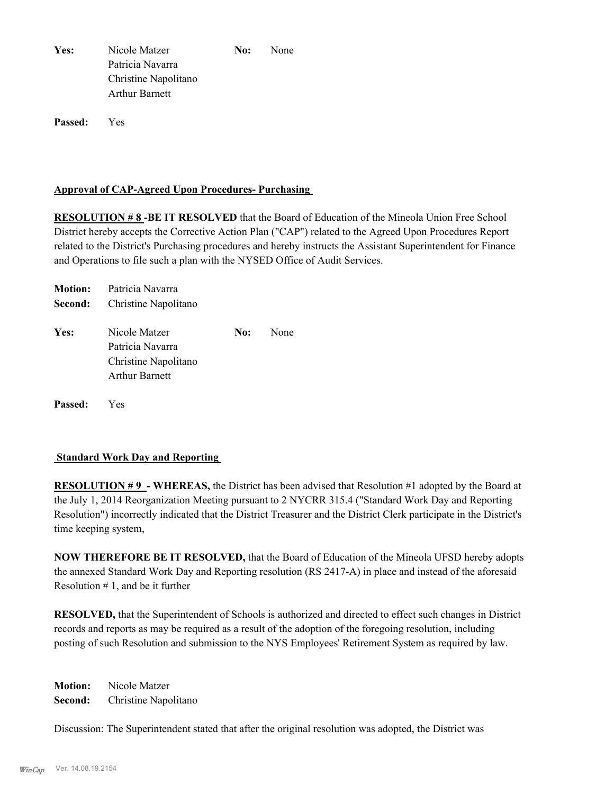| Yes: | Nicole Matzer        | No: | None |
|------|----------------------|-----|------|
|      | Patricia Navarra     |     |      |
|      | Christine Napolitano |     |      |
|      | Arthur Barnett       |     |      |
|      |                      |     |      |

**Passed:** Yes

#### **Approval of CAP-Agreed Upon Procedures- Purchasing**

**RESOLUTION # 8 -BE IT RESOLVED** that the Board of Education of the Mineola Union Free School District hereby accepts the Corrective Action Plan ("CAP") related to the Agreed Upon Procedures Report related to the District's Purchasing procedures and hereby instructs the Assistant Superintendent for Finance and Operations to file such a plan with the NYSED Office of Audit Services.

|                | <b>Motion:</b> Patricia Navarra |     |      |
|----------------|---------------------------------|-----|------|
| Second:        | Christine Napolitano            |     |      |
| Yes:           | Nicole Matzer                   | No: | None |
|                | Patricia Navarra                |     |      |
|                | Christine Napolitano            |     |      |
|                | <b>Arthur Barnett</b>           |     |      |
| <b>Passed:</b> | <b>Yes</b>                      |     |      |

#### **Standard Work Day and Reporting**

**RESOLUTION #9 - WHEREAS, the District has been advised that Resolution #1 adopted by the Board at** the July 1, 2014 Reorganization Meeting pursuant to 2 NYCRR 315.4 ("Standard Work Day and Reporting Resolution") incorrectly indicated that the District Treasurer and the District Clerk participate in the District's time keeping system,

**NOW THEREFORE BE IT RESOLVED,** that the Board of Education of the Mineola UFSD hereby adopts the annexed Standard Work Day and Reporting resolution (RS 2417-A) in place and instead of the aforesaid Resolution  $# 1$ , and be it further

**RESOLVED,** that the Superintendent of Schools is authorized and directed to effect such changes in District records and reports as may be required as a result of the adoption of the foregoing resolution, including posting of such Resolution and submission to the NYS Employees' Retirement System as required by law.

**Motion:** Nicole Matzer **Second:** Christine Napolitano

Discussion: The Superintendent stated that after the original resolution was adopted, the District was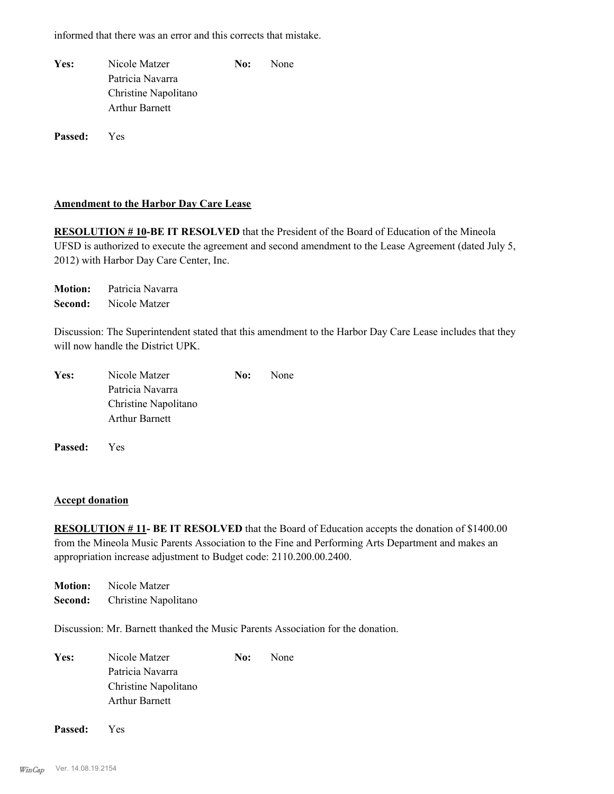informed that there was an error and this corrects that mistake.

| Yes: | Nicole Matzer         | No: | <b>None</b> |
|------|-----------------------|-----|-------------|
|      | Patricia Navarra      |     |             |
|      | Christine Napolitano  |     |             |
|      | <b>Arthur Barnett</b> |     |             |
|      |                       |     |             |

**Passed:** Yes

#### **Amendment to the Harbor Day Care Lease**

**RESOLUTION # 10-BE IT RESOLVED** that the President of the Board of Education of the Mineola UFSD is authorized to execute the agreement and second amendment to the Lease Agreement (dated July 5, 2012) with Harbor Day Care Center, Inc.

**Motion:** Patricia Navarra **Second:** Nicole Matzer

Discussion: The Superintendent stated that this amendment to the Harbor Day Care Lease includes that they will now handle the District UPK.

| Nicole Matzer<br>Yes:<br>Patricia Navarra<br>Christine Napolitano<br><b>Arthur Barnett</b> |  | No: | <b>None</b> |
|--------------------------------------------------------------------------------------------|--|-----|-------------|
|                                                                                            |  |     |             |
|                                                                                            |  |     |             |
|                                                                                            |  |     |             |
|                                                                                            |  |     |             |

**Passed:** Yes

#### **Accept donation**

**RESOLUTION # 11- BE IT RESOLVED** that the Board of Education accepts the donation of \$1400.00 from the Mineola Music Parents Association to the Fine and Performing Arts Department and makes an appropriation increase adjustment to Budget code: 2110.200.00.2400.

**Motion:** Nicole Matzer **Second:** Christine Napolitano

Discussion: Mr. Barnett thanked the Music Parents Association for the donation.

Yes: Nicole Matzer **No:** None Patricia Navarra Christine Napolitano Arthur Barnett

**Passed:** Yes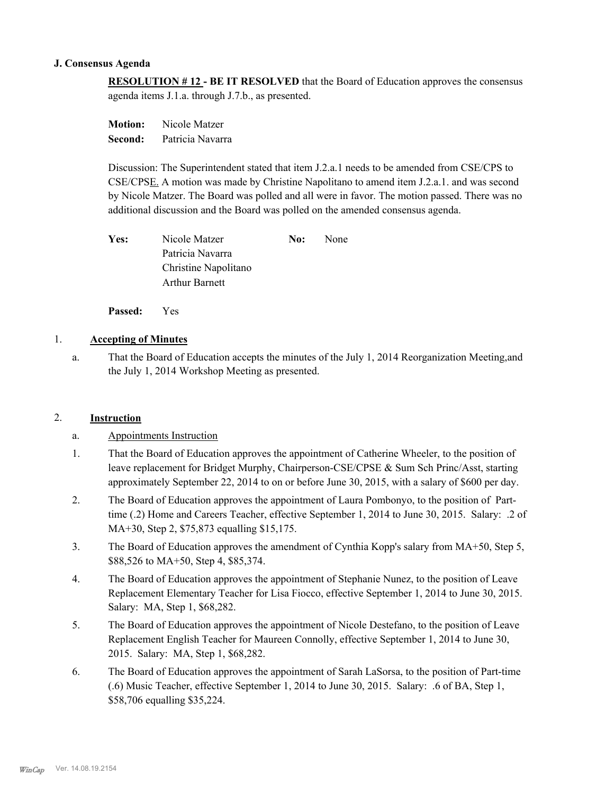#### **J. Consensus Agenda**

**RESOLUTION # 12 - BE IT RESOLVED** that the Board of Education approves the consensus agenda items J.1.a. through J.7.b., as presented.

**Motion:** Nicole Matzer **Second:** Patricia Navarra

Discussion: The Superintendent stated that item J.2.a.1 needs to be amended from CSE/CPS to CSE/CPSE. A motion was made by Christine Napolitano to amend item J.2.a.1. and was second by Nicole Matzer. The Board was polled and all were in favor. The motion passed. There was no additional discussion and the Board was polled on the amended consensus agenda.

| Yes: | Nicole Matzer        | No: | <b>None</b> |
|------|----------------------|-----|-------------|
|      | Patricia Navarra     |     |             |
|      | Christine Napolitano |     |             |
|      | Arthur Barnett       |     |             |

**Passed:** Yes

# 1. **Accepting of Minutes**

That the Board of Education accepts the minutes of the July 1, 2014 Reorganization Meeting,and the July 1, 2014 Workshop Meeting as presented. a.

# 2. **Instruction**

# a. Appointments Instruction

- That the Board of Education approves the appointment of Catherine Wheeler, to the position of leave replacement for Bridget Murphy, Chairperson-CSE/CPSE & Sum Sch Princ/Asst, starting approximately September 22, 2014 to on or before June 30, 2015, with a salary of \$600 per day. 1.
- The Board of Education approves the appointment of Laura Pombonyo, to the position of Parttime (.2) Home and Careers Teacher, effective September 1, 2014 to June 30, 2015. Salary: .2 of MA+30, Step 2, \$75,873 equalling \$15,175. 2.
- The Board of Education approves the amendment of Cynthia Kopp's salary from MA+50, Step 5, \$88,526 to MA+50, Step 4, \$85,374. 3.
- The Board of Education approves the appointment of Stephanie Nunez, to the position of Leave Replacement Elementary Teacher for Lisa Fiocco, effective September 1, 2014 to June 30, 2015. Salary: MA, Step 1, \$68,282. 4.
- The Board of Education approves the appointment of Nicole Destefano, to the position of Leave Replacement English Teacher for Maureen Connolly, effective September 1, 2014 to June 30, 2015. Salary: MA, Step 1, \$68,282. 5.
- The Board of Education approves the appointment of Sarah LaSorsa, to the position of Part-time (.6) Music Teacher, effective September 1, 2014 to June 30, 2015. Salary: .6 of BA, Step 1, \$58,706 equalling \$35,224. 6.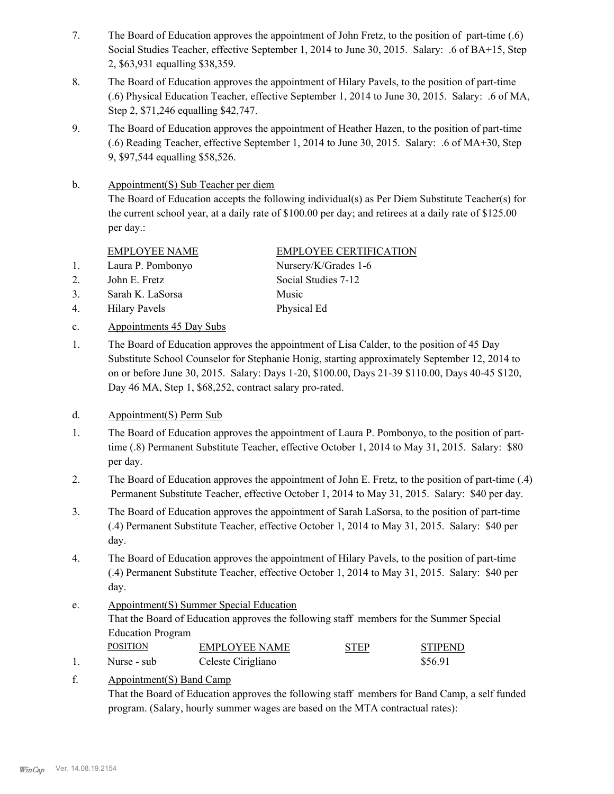- The Board of Education approves the appointment of John Fretz, to the position of part-time (.6) Social Studies Teacher, effective September 1, 2014 to June 30, 2015. Salary: .6 of BA+15, Step 2, \$63,931 equalling \$38,359. 7.
- The Board of Education approves the appointment of Hilary Pavels, to the position of part-time (.6) Physical Education Teacher, effective September 1, 2014 to June 30, 2015. Salary: .6 of MA, Step 2, \$71,246 equalling \$42,747. 8.
- The Board of Education approves the appointment of Heather Hazen, to the position of part-time (.6) Reading Teacher, effective September 1, 2014 to June 30, 2015. Salary: .6 of MA+30, Step 9, \$97,544 equalling \$58,526. 9.
- Appointment(S) Sub Teacher per diem b.

The Board of Education accepts the following individual(s) as Per Diem Substitute Teacher(s) for the current school year, at a daily rate of \$100.00 per day; and retirees at a daily rate of \$125.00 per day.:

1. Laura P. Pombonyo Nursery/K/Grades 1-6

- 2. John E. Fretz Social Studies 7-12
- 3. Sarah K. LaSorsa Music
- 4. Hilary Pavels Physical Ed
- c. Appointments 45 Day Subs
- EMPLOYEE NAME EMPLOYEE CERTIFICATION

The Board of Education approves the appointment of Lisa Calder, to the position of 45 Day Substitute School Counselor for Stephanie Honig, starting approximately September 12, 2014 to on or before June 30, 2015. Salary: Days 1-20, \$100.00, Days 21-39 \$110.00, Days 40-45 \$120, Day 46 MA, Step 1, \$68,252, contract salary pro-rated. 1.

# d. Appointment(S) Perm Sub

- The Board of Education approves the appointment of Laura P. Pombonyo, to the position of parttime (.8) Permanent Substitute Teacher, effective October 1, 2014 to May 31, 2015. Salary: \$80 per day. 1.
- The Board of Education approves the appointment of John E. Fretz, to the position of part-time (.4) Permanent Substitute Teacher, effective October 1, 2014 to May 31, 2015. Salary: \$40 per day. 2.
- The Board of Education approves the appointment of Sarah LaSorsa, to the position of part-time (.4) Permanent Substitute Teacher, effective October 1, 2014 to May 31, 2015. Salary: \$40 per day. 3.
- The Board of Education approves the appointment of Hilary Pavels, to the position of part-time (.4) Permanent Substitute Teacher, effective October 1, 2014 to May 31, 2015. Salary: \$40 per day. 4.
- Appointment(S) Summer Special Education That the Board of Education approves the following staff members for the Summer Special Education Program e. POSITION EMPLOYEE NAME STEP STIPEND 1. Nurse - sub Celeste Cirigliano \$56.91
- Appointment(S) Band Camp f.

That the Board of Education approves the following staff members for Band Camp, a self funded program. (Salary, hourly summer wages are based on the MTA contractual rates):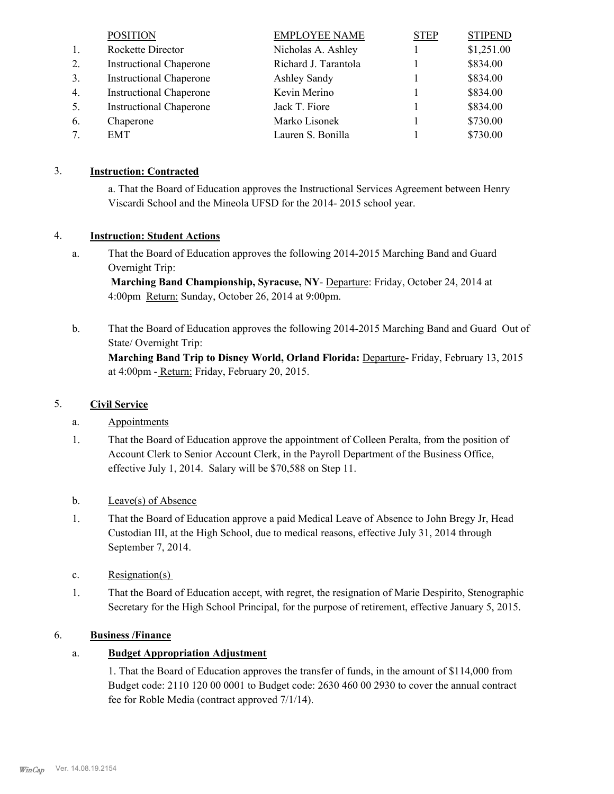|    | <b>POSITION</b>                | <b>EMPLOYEE NAME</b> | <b>STEP</b> | <b>STIPEND</b> |
|----|--------------------------------|----------------------|-------------|----------------|
| 1. | Rockette Director              | Nicholas A. Ashley   |             | \$1,251.00     |
| 2. | <b>Instructional Chaperone</b> | Richard J. Tarantola |             | \$834.00       |
| 3. | <b>Instructional Chaperone</b> | Ashley Sandy         |             | \$834.00       |
| 4. | <b>Instructional Chaperone</b> | Kevin Merino         |             | \$834.00       |
| 5. | <b>Instructional Chaperone</b> | Jack T. Fiore        |             | \$834.00       |
| 6. | Chaperone                      | Marko Lisonek        |             | \$730.00       |
|    | EMT                            | Lauren S. Bonilla    |             | \$730.00       |

# 3. **Instruction: Contracted**

a. That the Board of Education approves the Instructional Services Agreement between Henry Viscardi School and the Mineola UFSD for the 2014- 2015 school year.

# 4. **Instruction: Student Actions**

That the Board of Education approves the following 2014-2015 Marching Band and Guard Overnight Trip: a.

 **Marching Band Championship, Syracuse, NY**- Departure: Friday, October 24, 2014 at 4:00pm Return: Sunday, October 26, 2014 at 9:00pm.

That the Board of Education approves the following 2014-2015 Marching Band and Guard Out of State/ Overnight Trip: **Marching Band Trip to Disney World, Orland Florida:** Departure**-** Friday, February 13, 2015 at 4:00pm - Return: Friday, February 20, 2015. b.

# 5. **Civil Service**

- a. Appointments
- That the Board of Education approve the appointment of Colleen Peralta, from the position of Account Clerk to Senior Account Clerk, in the Payroll Department of the Business Office, effective July 1, 2014. Salary will be \$70,588 on Step 11. 1.
- b. Leave(s) of Absence
- That the Board of Education approve a paid Medical Leave of Absence to John Bregy Jr, Head Custodian III, at the High School, due to medical reasons, effective July 31, 2014 through September 7, 2014. 1.
- c. Resignation(s)
- That the Board of Education accept, with regret, the resignation of Marie Despirito, Stenographic Secretary for the High School Principal, for the purpose of retirement, effective January 5, 2015. 1.

# 6. **Business /Finance**

# a. **Budget Appropriation Adjustment**

1. That the Board of Education approves the transfer of funds, in the amount of \$114,000 from Budget code: 2110 120 00 0001 to Budget code: 2630 460 00 2930 to cover the annual contract fee for Roble Media (contract approved 7/1/14).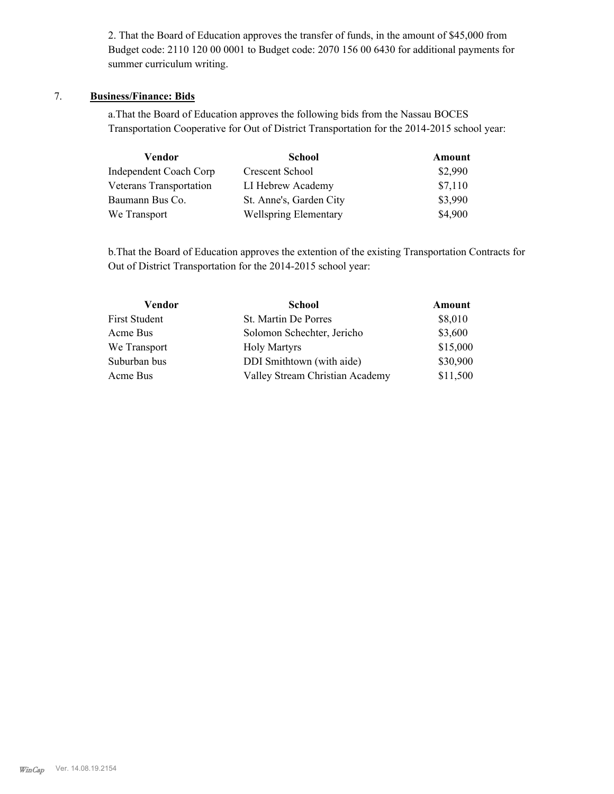2. That the Board of Education approves the transfer of funds, in the amount of \$45,000 from Budget code: 2110 120 00 0001 to Budget code: 2070 156 00 6430 for additional payments for summer curriculum writing.

# 7. **Business/Finance: Bids**

a.That the Board of Education approves the following bids from the Nassau BOCES Transportation Cooperative for Out of District Transportation for the 2014-2015 school year:

| Vendor                        | <b>School</b>                | Amount  |
|-------------------------------|------------------------------|---------|
| <b>Independent Coach Corp</b> | Crescent School              | \$2,990 |
| Veterans Transportation       | LI Hebrew Academy            | \$7,110 |
| Baumann Bus Co.               | St. Anne's, Garden City      | \$3,990 |
| We Transport                  | <b>Wellspring Elementary</b> | \$4,900 |

b.That the Board of Education approves the extention of the existing Transportation Contracts for Out of District Transportation for the 2014-2015 school year:

| <b>School</b>                   |                                                                  |
|---------------------------------|------------------------------------------------------------------|
| St. Martin De Porres            |                                                                  |
| Solomon Schechter, Jericho      |                                                                  |
| <b>Holy Martyrs</b>             |                                                                  |
| DDI Smithtown (with aide)       |                                                                  |
| Valley Stream Christian Academy |                                                                  |
|                                 | Amount<br>\$8,010<br>\$3,600<br>\$15,000<br>\$30,900<br>\$11,500 |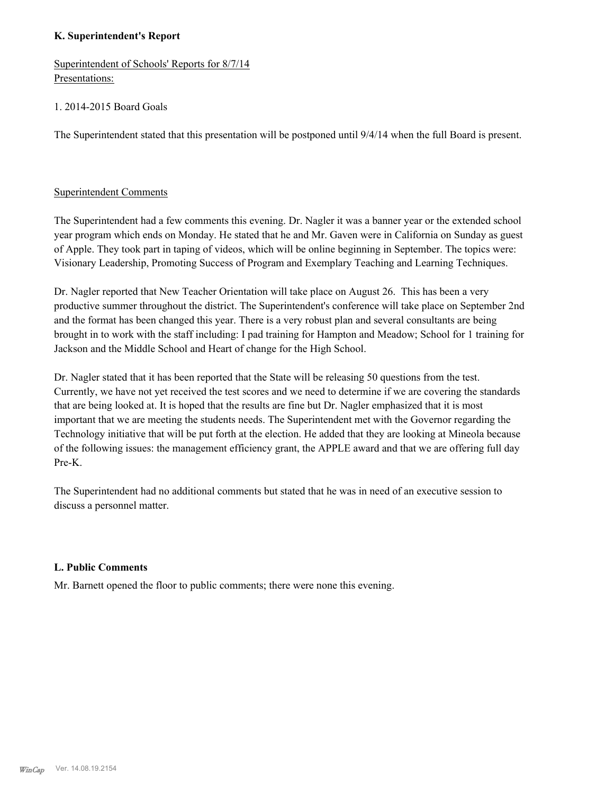# **K. Superintendent's Report**

Superintendent of Schools' Reports for 8/7/14 Presentations:

# 1. 2014-2015 Board Goals

The Superintendent stated that this presentation will be postponed until 9/4/14 when the full Board is present.

#### Superintendent Comments

The Superintendent had a few comments this evening. Dr. Nagler it was a banner year or the extended school year program which ends on Monday. He stated that he and Mr. Gaven were in California on Sunday as guest of Apple. They took part in taping of videos, which will be online beginning in September. The topics were: Visionary Leadership, Promoting Success of Program and Exemplary Teaching and Learning Techniques.

Dr. Nagler reported that New Teacher Orientation will take place on August 26. This has been a very productive summer throughout the district. The Superintendent's conference will take place on September 2nd and the format has been changed this year. There is a very robust plan and several consultants are being brought in to work with the staff including: I pad training for Hampton and Meadow; School for 1 training for Jackson and the Middle School and Heart of change for the High School.

Dr. Nagler stated that it has been reported that the State will be releasing 50 questions from the test. Currently, we have not yet received the test scores and we need to determine if we are covering the standards that are being looked at. It is hoped that the results are fine but Dr. Nagler emphasized that it is most important that we are meeting the students needs. The Superintendent met with the Governor regarding the Technology initiative that will be put forth at the election. He added that they are looking at Mineola because of the following issues: the management efficiency grant, the APPLE award and that we are offering full day Pre-K.

The Superintendent had no additional comments but stated that he was in need of an executive session to discuss a personnel matter.

#### **L. Public Comments**

Mr. Barnett opened the floor to public comments; there were none this evening.